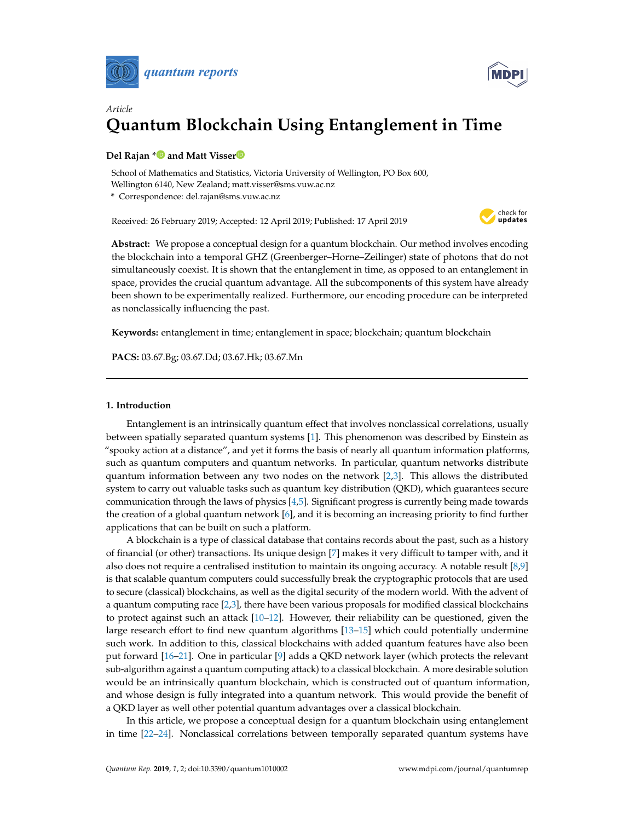



# *Article* **Quantum Blockchain Using Entanglement in Time**

# **Del Rajan \* and Matt Visser**

School of Mathematics and Statistics, Victoria University of Wellington, PO Box 600, Wellington 6140, New Zealand; matt.visser@sms.vuw.ac.nz

**\*** Correspondence: del.rajan@sms.vuw.ac.nz

Received: 26 February 2019; Accepted: 12 April 2019; Published: 17 April 2019



**Abstract:** We propose a conceptual design for a quantum blockchain. Our method involves encoding the blockchain into a temporal GHZ (Greenberger–Horne–Zeilinger) state of photons that do not simultaneously coexist. It is shown that the entanglement in time, as opposed to an entanglement in space, provides the crucial quantum advantage. All the subcomponents of this system have already been shown to be experimentally realized. Furthermore, our encoding procedure can be interpreted as nonclassically influencing the past.

**Keywords:** entanglement in time; entanglement in space; blockchain; quantum blockchain

**PACS:** 03.67.Bg; 03.67.Dd; 03.67.Hk; 03.67.Mn

## **1. Introduction**

Entanglement is an intrinsically quantum effect that involves nonclassical correlations, usually between spatially separated quantum systems [1]. This phenomenon was described by Einstein as "spooky action at a distance", and yet it forms the basis of nearly all quantum information platforms, such as quantum computers and quantum networks. In particular, quantum networks distribute quantum information between any two nodes on the network [2,3]. This allows the distributed system to carry out valuable tasks such as quantum key distribution (QKD), which guarantees secure communication through the laws of physics [4,5]. Significant progress is currently being made towards the creation of a global quantum network [6], and it is becoming an increasing priority to find further applications that can be built on such a platform.

A blockchain is a type of classical database that contains records about the past, such as a history of financial (or other) transactions. Its unique design [7] makes it very difficult to tamper with, and it also does not require a centralised institution to maintain its ongoing accuracy. A notable result [8,9] is that scalable quantum computers could successfully break the cryptographic protocols that are used to secure (classical) blockchains, as well as the digital security of the modern world. With the advent of a quantum computing race [2,3], there have been various proposals for modified classical blockchains to protect against such an attack  $[10-12]$ . However, their reliability can be questioned, given the large research effort to find new quantum algorithms [13–15] which could potentially undermine such work. In addition to this, classical blockchains with added quantum features have also been put forward [16–21]. One in particular [9] adds a QKD network layer (which protects the relevant sub-algorithm against a quantum computing attack) to a classical blockchain. A more desirable solution would be an intrinsically quantum blockchain, which is constructed out of quantum information, and whose design is fully integrated into a quantum network. This would provide the benefit of a QKD layer as well other potential quantum advantages over a classical blockchain.

In this article, we propose a conceptual design for a quantum blockchain using entanglement in time [22–24]. Nonclassical correlations between temporally separated quantum systems have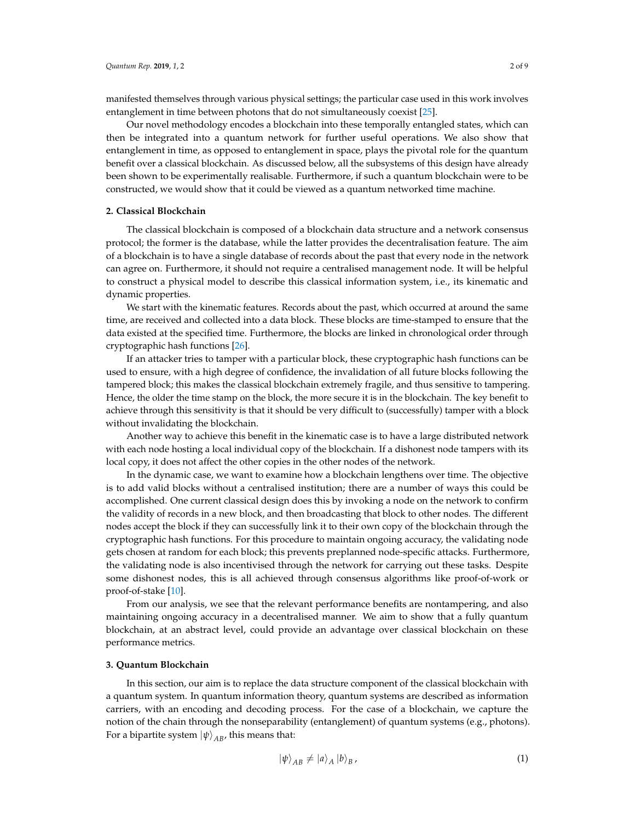manifested themselves through various physical settings; the particular case used in this work involves entanglement in time between photons that do not simultaneously coexist [25].

Our novel methodology encodes a blockchain into these temporally entangled states, which can then be integrated into a quantum network for further useful operations. We also show that entanglement in time, as opposed to entanglement in space, plays the pivotal role for the quantum benefit over a classical blockchain. As discussed below, all the subsystems of this design have already been shown to be experimentally realisable. Furthermore, if such a quantum blockchain were to be constructed, we would show that it could be viewed as a quantum networked time machine.

## **2. Classical Blockchain**

The classical blockchain is composed of a blockchain data structure and a network consensus protocol; the former is the database, while the latter provides the decentralisation feature. The aim of a blockchain is to have a single database of records about the past that every node in the network can agree on. Furthermore, it should not require a centralised management node. It will be helpful to construct a physical model to describe this classical information system, i.e., its kinematic and dynamic properties.

We start with the kinematic features. Records about the past, which occurred at around the same time, are received and collected into a data block. These blocks are time-stamped to ensure that the data existed at the specified time. Furthermore, the blocks are linked in chronological order through cryptographic hash functions [26].

If an attacker tries to tamper with a particular block, these cryptographic hash functions can be used to ensure, with a high degree of confidence, the invalidation of all future blocks following the tampered block; this makes the classical blockchain extremely fragile, and thus sensitive to tampering. Hence, the older the time stamp on the block, the more secure it is in the blockchain. The key benefit to achieve through this sensitivity is that it should be very difficult to (successfully) tamper with a block without invalidating the blockchain.

Another way to achieve this benefit in the kinematic case is to have a large distributed network with each node hosting a local individual copy of the blockchain. If a dishonest node tampers with its local copy, it does not affect the other copies in the other nodes of the network.

In the dynamic case, we want to examine how a blockchain lengthens over time. The objective is to add valid blocks without a centralised institution; there are a number of ways this could be accomplished. One current classical design does this by invoking a node on the network to confirm the validity of records in a new block, and then broadcasting that block to other nodes. The different nodes accept the block if they can successfully link it to their own copy of the blockchain through the cryptographic hash functions. For this procedure to maintain ongoing accuracy, the validating node gets chosen at random for each block; this prevents preplanned node-specific attacks. Furthermore, the validating node is also incentivised through the network for carrying out these tasks. Despite some dishonest nodes, this is all achieved through consensus algorithms like proof-of-work or proof-of-stake [10].

From our analysis, we see that the relevant performance benefits are nontampering, and also maintaining ongoing accuracy in a decentralised manner. We aim to show that a fully quantum blockchain, at an abstract level, could provide an advantage over classical blockchain on these performance metrics.

#### **3. Quantum Blockchain**

In this section, our aim is to replace the data structure component of the classical blockchain with a quantum system. In quantum information theory, quantum systems are described as information carriers, with an encoding and decoding process. For the case of a blockchain, we capture the notion of the chain through the nonseparability (entanglement) of quantum systems (e.g., photons). For a bipartite system  $|\psi\rangle_{AB}$ , this means that:

$$
|\psi\rangle_{AB} \neq |a\rangle_A |b\rangle_B, \tag{1}
$$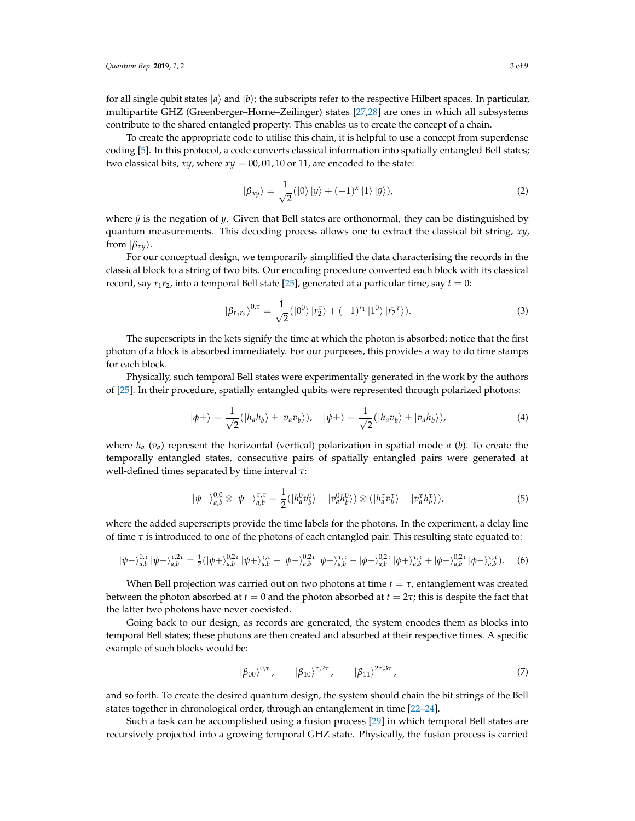for all single qubit states  $|a\rangle$  and  $|b\rangle$ ; the subscripts refer to the respective Hilbert spaces. In particular, multipartite GHZ (Greenberger–Horne–Zeilinger) states [27,28] are ones in which all subsystems contribute to the shared entangled property. This enables us to create the concept of a chain.

To create the appropriate code to utilise this chain, it is helpful to use a concept from superdense coding [5]. In this protocol, a code converts classical information into spatially entangled Bell states; two classical bits,  $xy$ , where  $xy = 00,01,10$  or 11, are encoded to the state:

$$
|\beta_{xy}\rangle = \frac{1}{\sqrt{2}} (|0\rangle |y\rangle + (-1)^{x} |1\rangle |y\rangle), \qquad (2)
$$

where  $\bar{y}$  is the negation of *y*. Given that Bell states are orthonormal, they can be distinguished by quantum measurements. This decoding process allows one to extract the classical bit string, *xy*, from  $|\beta_{xy}\rangle$ .

For our conceptual design, we temporarily simplified the data characterising the records in the classical block to a string of two bits. Our encoding procedure converted each block with its classical record, say  $r_1r_2$ , into a temporal Bell state [25], generated at a particular time, say  $t = 0$ :

$$
|\beta_{r_1r_2}\rangle^{0,\tau} = \frac{1}{\sqrt{2}} (|0^0\rangle |r_2^{\tau}\rangle + (-1)^{r_1} |1^0\rangle |r_2^{\tau}\rangle).
$$
 (3)

The superscripts in the kets signify the time at which the photon is absorbed; notice that the first photon of a block is absorbed immediately. For our purposes, this provides a way to do time stamps for each block.

Physically, such temporal Bell states were experimentally generated in the work by the authors of [25]. In their procedure, spatially entangled qubits were represented through polarized photons:

$$
|\phi \pm \rangle = \frac{1}{\sqrt{2}} (|h_a h_b \rangle \pm |v_a v_b \rangle), \quad |\psi \pm \rangle = \frac{1}{\sqrt{2}} (|h_a v_b \rangle \pm |v_a h_b \rangle), \tag{4}
$$

where *ha* (*va*) represent the horizontal (vertical) polarization in spatial mode *a* (*b*). To create the temporally entangled states, consecutive pairs of spatially entangled pairs were generated at well-defined times separated by time interval *t*:

$$
|\psi - \rangle_{a,b}^{0,0} \otimes |\psi - \rangle_{a,b}^{\tau,\tau} = \frac{1}{2} (|h_a^0 v_b^0\rangle - |v_a^0 h_b^0\rangle) \otimes (|h_a^{\tau} v_b^{\tau}\rangle - |v_a^{\tau} h_b^{\tau}\rangle), \tag{5}
$$

where the added superscripts provide the time labels for the photons. In the experiment, a delay line of time  $\tau$  is introduced to one of the photons of each entangled pair. This resulting state equated to:

$$
|\psi - \rangle_{a,b}^{0,\tau} |\psi - \rangle_{a,b}^{\tau,2\tau} = \frac{1}{2} (|\psi + \rangle_{a,b}^{0,2\tau} |\psi + \rangle_{a,b}^{\tau,\tau} - |\psi - \rangle_{a,b}^{0,2\tau} |\psi - \rangle_{a,b}^{\tau,\tau} - |\phi + \rangle_{a,b}^{0,2\tau} |\phi + \rangle_{a,b}^{\tau,\tau} + |\phi - \rangle_{a,b}^{0,2\tau} |\phi - \rangle_{a,b}^{\tau,\tau}.
$$
 (6)

When Bell projection was carried out on two photons at time  $t = \tau$ , entanglement was created between the photon absorbed at  $t = 0$  and the photon absorbed at  $t = 2\tau$ ; this is despite the fact that the latter two photons have never coexisted.

Going back to our design, as records are generated, the system encodes them as blocks into temporal Bell states; these photons are then created and absorbed at their respective times. A specific example of such blocks would be:

$$
|\beta_{00}\rangle^{0,\tau}, \qquad |\beta_{10}\rangle^{\tau,2\tau}, \qquad |\beta_{11}\rangle^{2\tau,3\tau}, \qquad (7)
$$

and so forth. To create the desired quantum design, the system should chain the bit strings of the Bell states together in chronological order, through an entanglement in time [22–24].

Such a task can be accomplished using a fusion process [29] in which temporal Bell states are recursively projected into a growing temporal GHZ state. Physically, the fusion process is carried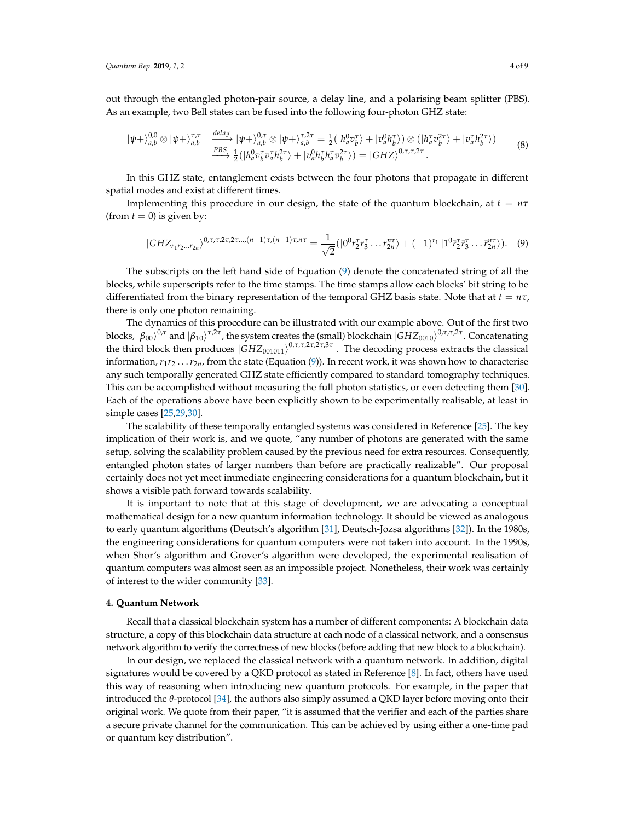out through the entangled photon-pair source, a delay line, and a polarising beam splitter (PBS). As an example, two Bell states can be fused into the following four-photon GHZ state:

$$
|\psi+\rangle_{a,b}^{0,0}\otimes|\psi+\rangle_{a,b}^{\tau,\tau}\xrightarrow{\text{delay}}|\psi+\rangle_{a,b}^{0,\tau}\otimes|\psi+\rangle_{a,b}^{\tau,2\tau}=\frac{1}{2}(|h_{a}^{0}v_{b}^{\tau}\rangle+|v_{a}^{0}h_{b}^{\tau}\rangle)\otimes(|h_{a}^{\tau}v_{b}^{2\tau}\rangle+|v_{a}^{\tau}h_{b}^{2\tau}\rangle)\xrightarrow{\text{PBS}}\frac{1}{2}(|h_{a}^{0}v_{b}^{\tau}v_{a}^{\tau}h_{b}^{2\tau}\rangle+|v_{a}^{0}h_{b}^{\tau}h_{a}^{\tau}v_{b}^{2\tau}\rangle)=|GHZ\rangle^{0,\tau,\tau,2\tau}.
$$
\n(8)

In this GHZ state, entanglement exists between the four photons that propagate in different spatial modes and exist at different times.

Implementing this procedure in our design, the state of the quantum blockchain, at  $t = n\tau$ (from  $t = 0$ ) is given by:

$$
|GHZ_{r_1r_2...r_{2n}}\rangle^{0,\tau,\tau,2\tau,2\tau...,(n-1)\tau,(n-1)\tau,n\tau} = \frac{1}{\sqrt{2}}(|0^0r_2^{\tau}r_3^{\tau}...r_{2n}^{n\tau}\rangle + (-1)^{r_1}|1^0\bar{r}_2^{\tau}\bar{r}_3^{\tau}... \bar{r}_{2n}^{n\tau}\rangle).
$$
 (9)

The subscripts on the left hand side of Equation (9) denote the concatenated string of all the blocks, while superscripts refer to the time stamps. The time stamps allow each blocks' bit string to be differentiated from the binary representation of the temporal GHZ basis state. Note that at  $t = n\tau$ , there is only one photon remaining.

The dynamics of this procedure can be illustrated with our example above. Out of the first two blocks,  $\left|\beta_{00}\right\rangle^{0, \tau}$  and  $\left|\beta_{10}\right\rangle^{\tau,2\bar{\tau}}$ , the system creates the (small) blockchain  $\left|\overline{GHZ}_{0010}\right\rangle^{0, \tau, \tau, 2\tau}$ . Concatenating the third block then produces  $|GHZ_{001011}\rangle^{0,\tau,\tau,2\tau,2\tau,3\tau}$ . The decoding process extracts the classical information,  $r_1r_2 \ldots r_{2n}$ , from the state (Equation (9)). In recent work, it was shown how to characterise any such temporally generated GHZ state efficiently compared to standard tomography techniques. This can be accomplished without measuring the full photon statistics, or even detecting them [30]. Each of the operations above have been explicitly shown to be experimentally realisable, at least in simple cases [25,29,30].

The scalability of these temporally entangled systems was considered in Reference [25]. The key implication of their work is, and we quote, "any number of photons are generated with the same setup, solving the scalability problem caused by the previous need for extra resources. Consequently, entangled photon states of larger numbers than before are practically realizable". Our proposal certainly does not yet meet immediate engineering considerations for a quantum blockchain, but it shows a visible path forward towards scalability.

It is important to note that at this stage of development, we are advocating a conceptual mathematical design for a new quantum information technology. It should be viewed as analogous to early quantum algorithms (Deutsch's algorithm [31], Deutsch-Jozsa algorithms [32]). In the 1980s, the engineering considerations for quantum computers were not taken into account. In the 1990s, when Shor's algorithm and Grover's algorithm were developed, the experimental realisation of quantum computers was almost seen as an impossible project. Nonetheless, their work was certainly of interest to the wider community [33].

#### **4. Quantum Network**

Recall that a classical blockchain system has a number of different components: A blockchain data structure, a copy of this blockchain data structure at each node of a classical network, and a consensus network algorithm to verify the correctness of new blocks (before adding that new block to a blockchain).

In our design, we replaced the classical network with a quantum network. In addition, digital signatures would be covered by a QKD protocol as stated in Reference [8]. In fact, others have used this way of reasoning when introducing new quantum protocols. For example, in the paper that introduced the  $\theta$ -protocol [34], the authors also simply assumed a QKD layer before moving onto their original work. We quote from their paper, "it is assumed that the verifier and each of the parties share a secure private channel for the communication. This can be achieved by using either a one-time pad or quantum key distribution".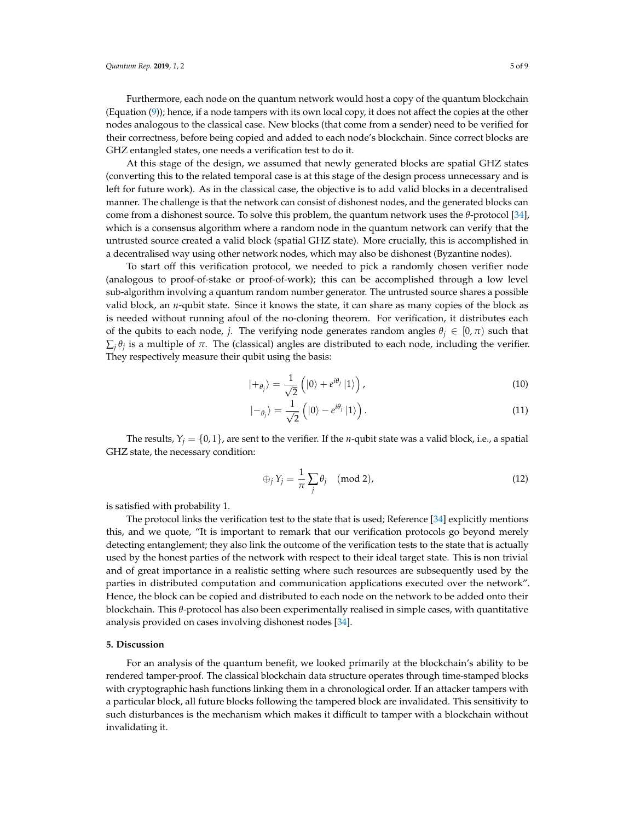Furthermore, each node on the quantum network would host a copy of the quantum blockchain (Equation (9)); hence, if a node tampers with its own local copy, it does not affect the copies at the other nodes analogous to the classical case. New blocks (that come from a sender) need to be verified for their correctness, before being copied and added to each node's blockchain. Since correct blocks are GHZ entangled states, one needs a verification test to do it.

At this stage of the design, we assumed that newly generated blocks are spatial GHZ states (converting this to the related temporal case is at this stage of the design process unnecessary and is left for future work). As in the classical case, the objective is to add valid blocks in a decentralised manner. The challenge is that the network can consist of dishonest nodes, and the generated blocks can come from a dishonest source. To solve this problem, the quantum network uses the *q*-protocol [34], which is a consensus algorithm where a random node in the quantum network can verify that the untrusted source created a valid block (spatial GHZ state). More crucially, this is accomplished in a decentralised way using other network nodes, which may also be dishonest (Byzantine nodes).

To start off this verification protocol, we needed to pick a randomly chosen verifier node (analogous to proof-of-stake or proof-of-work); this can be accomplished through a low level sub-algorithm involving a quantum random number generator. The untrusted source shares a possible valid block, an *n*-qubit state. Since it knows the state, it can share as many copies of the block as is needed without running afoul of the no-cloning theorem. For verification, it distributes each of the qubits to each node, *j*. The verifying node generates random angles  $\theta_i \in [0, \pi)$  such that  $\sum_i \theta_i$  is a multiple of  $\pi$ . The (classical) angles are distributed to each node, including the verifier. They respectively measure their qubit using the basis:

$$
|+_{\theta_j}\rangle = \frac{1}{\sqrt{2}} \left( |0\rangle + e^{i\theta_j} |1\rangle \right), \qquad (10)
$$

$$
| -_{\theta_j} \rangle = \frac{1}{\sqrt{2}} \left( |0 \rangle - e^{i\theta_j} |1 \rangle \right). \tag{11}
$$

The results,  $Y_i = \{0, 1\}$ , are sent to the verifier. If the *n*-qubit state was a valid block, i.e., a spatial GHZ state, the necessary condition:

$$
\oplus_j Y_j = \frac{1}{\pi} \sum_j \theta_j \pmod{2},\tag{12}
$$

is satisfied with probability 1.

The protocol links the verification test to the state that is used; Reference [34] explicitly mentions this, and we quote, "It is important to remark that our verification protocols go beyond merely detecting entanglement; they also link the outcome of the verification tests to the state that is actually used by the honest parties of the network with respect to their ideal target state. This is non trivial and of great importance in a realistic setting where such resources are subsequently used by the parties in distributed computation and communication applications executed over the network". Hence, the block can be copied and distributed to each node on the network to be added onto their blockchain. This *q*-protocol has also been experimentally realised in simple cases, with quantitative analysis provided on cases involving dishonest nodes [34].

#### **5. Discussion**

For an analysis of the quantum benefit, we looked primarily at the blockchain's ability to be rendered tamper-proof. The classical blockchain data structure operates through time-stamped blocks with cryptographic hash functions linking them in a chronological order. If an attacker tampers with a particular block, all future blocks following the tampered block are invalidated. This sensitivity to such disturbances is the mechanism which makes it difficult to tamper with a blockchain without invalidating it.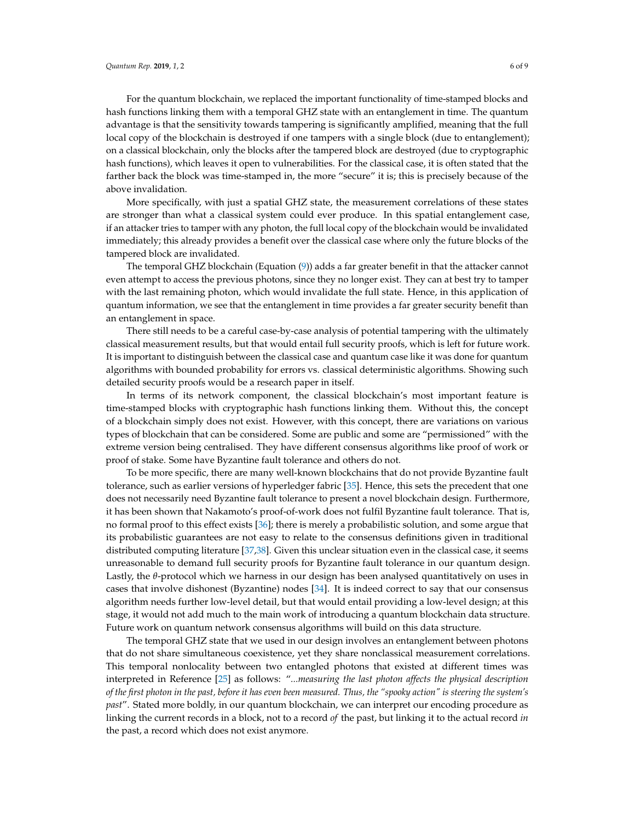For the quantum blockchain, we replaced the important functionality of time-stamped blocks and hash functions linking them with a temporal GHZ state with an entanglement in time. The quantum advantage is that the sensitivity towards tampering is significantly amplified, meaning that the full local copy of the blockchain is destroyed if one tampers with a single block (due to entanglement); on a classical blockchain, only the blocks after the tampered block are destroyed (due to cryptographic hash functions), which leaves it open to vulnerabilities. For the classical case, it is often stated that the farther back the block was time-stamped in, the more "secure" it is; this is precisely because of the above invalidation.

More specifically, with just a spatial GHZ state, the measurement correlations of these states are stronger than what a classical system could ever produce. In this spatial entanglement case, if an attacker tries to tamper with any photon, the full local copy of the blockchain would be invalidated immediately; this already provides a benefit over the classical case where only the future blocks of the tampered block are invalidated.

The temporal GHZ blockchain (Equation (9)) adds a far greater benefit in that the attacker cannot even attempt to access the previous photons, since they no longer exist. They can at best try to tamper with the last remaining photon, which would invalidate the full state. Hence, in this application of quantum information, we see that the entanglement in time provides a far greater security benefit than an entanglement in space.

There still needs to be a careful case-by-case analysis of potential tampering with the ultimately classical measurement results, but that would entail full security proofs, which is left for future work. It is important to distinguish between the classical case and quantum case like it was done for quantum algorithms with bounded probability for errors vs. classical deterministic algorithms. Showing such detailed security proofs would be a research paper in itself.

In terms of its network component, the classical blockchain's most important feature is time-stamped blocks with cryptographic hash functions linking them. Without this, the concept of a blockchain simply does not exist. However, with this concept, there are variations on various types of blockchain that can be considered. Some are public and some are "permissioned" with the extreme version being centralised. They have different consensus algorithms like proof of work or proof of stake. Some have Byzantine fault tolerance and others do not.

To be more specific, there are many well-known blockchains that do not provide Byzantine fault tolerance, such as earlier versions of hyperledger fabric [35]. Hence, this sets the precedent that one does not necessarily need Byzantine fault tolerance to present a novel blockchain design. Furthermore, it has been shown that Nakamoto's proof-of-work does not fulfil Byzantine fault tolerance. That is, no formal proof to this effect exists [36]; there is merely a probabilistic solution, and some argue that its probabilistic guarantees are not easy to relate to the consensus definitions given in traditional distributed computing literature [37,38]. Given this unclear situation even in the classical case, it seems unreasonable to demand full security proofs for Byzantine fault tolerance in our quantum design. Lastly, the  $\theta$ -protocol which we harness in our design has been analysed quantitatively on uses in cases that involve dishonest (Byzantine) nodes [34]. It is indeed correct to say that our consensus algorithm needs further low-level detail, but that would entail providing a low-level design; at this stage, it would not add much to the main work of introducing a quantum blockchain data structure. Future work on quantum network consensus algorithms will build on this data structure.

The temporal GHZ state that we used in our design involves an entanglement between photons that do not share simultaneous coexistence, yet they share nonclassical measurement correlations. This temporal nonlocality between two entangled photons that existed at different times was interpreted in Reference [25] as follows: "*...measuring the last photon affects the physical description of the first photon in the past, before it has even been measured. Thus, the "spooky action" is steering the system's past*". Stated more boldly, in our quantum blockchain, we can interpret our encoding procedure as linking the current records in a block, not to a record *of* the past, but linking it to the actual record *in* the past, a record which does not exist anymore.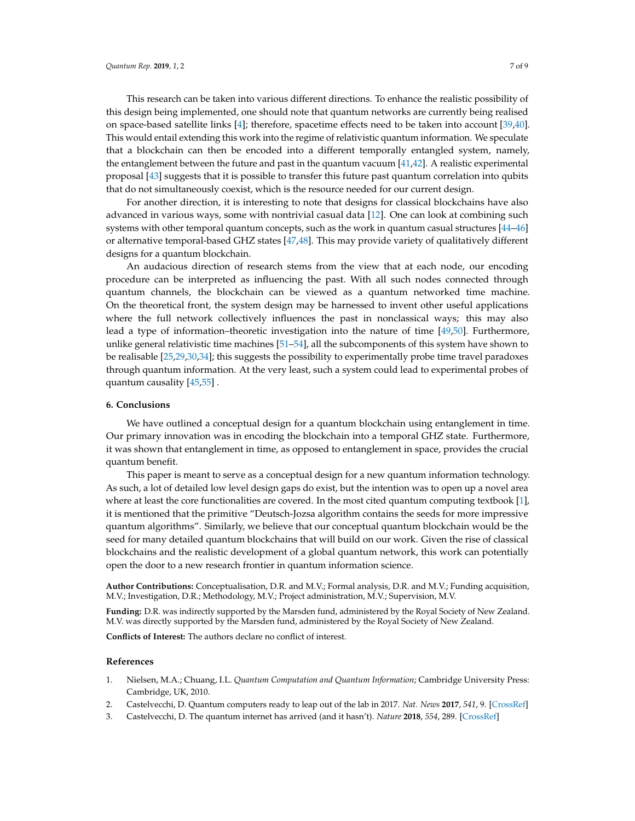This research can be taken into various different directions. To enhance the realistic possibility of this design being implemented, one should note that quantum networks are currently being realised on space-based satellite links [4]; therefore, spacetime effects need to be taken into account [39,40]. This would entail extending this work into the regime of relativistic quantum information. We speculate that a blockchain can then be encoded into a different temporally entangled system, namely, the entanglement between the future and past in the quantum vacuum [41,42]. A realistic experimental proposal [43] suggests that it is possible to transfer this future past quantum correlation into qubits that do not simultaneously coexist, which is the resource needed for our current design.

For another direction, it is interesting to note that designs for classical blockchains have also advanced in various ways, some with nontrivial casual data [12]. One can look at combining such systems with other temporal quantum concepts, such as the work in quantum casual structures [44–46] or alternative temporal-based GHZ states [47,48]. This may provide variety of qualitatively different designs for a quantum blockchain.

An audacious direction of research stems from the view that at each node, our encoding procedure can be interpreted as influencing the past. With all such nodes connected through quantum channels, the blockchain can be viewed as a quantum networked time machine. On the theoretical front, the system design may be harnessed to invent other useful applications where the full network collectively influences the past in nonclassical ways; this may also lead a type of information–theoretic investigation into the nature of time [49,50]. Furthermore, unlike general relativistic time machines [51–54], all the subcomponents of this system have shown to be realisable [25,29,30,34]; this suggests the possibility to experimentally probe time travel paradoxes through quantum information. At the very least, such a system could lead to experimental probes of quantum causality [45,55] .

### **6. Conclusions**

We have outlined a conceptual design for a quantum blockchain using entanglement in time. Our primary innovation was in encoding the blockchain into a temporal GHZ state. Furthermore, it was shown that entanglement in time, as opposed to entanglement in space, provides the crucial quantum benefit.

This paper is meant to serve as a conceptual design for a new quantum information technology. As such, a lot of detailed low level design gaps do exist, but the intention was to open up a novel area where at least the core functionalities are covered. In the most cited quantum computing textbook [1], it is mentioned that the primitive "Deutsch-Jozsa algorithm contains the seeds for more impressive quantum algorithms". Similarly, we believe that our conceptual quantum blockchain would be the seed for many detailed quantum blockchains that will build on our work. Given the rise of classical blockchains and the realistic development of a global quantum network, this work can potentially open the door to a new research frontier in quantum information science.

**Author Contributions:** Conceptualisation, D.R. and M.V.; Formal analysis, D.R. and M.V.; Funding acquisition, M.V.; Investigation, D.R.; Methodology, M.V.; Project administration, M.V.; Supervision, M.V.

**Funding:** D.R. was indirectly supported by the Marsden fund, administered by the Royal Society of New Zealand. M.V. was directly supported by the Marsden fund, administered by the Royal Society of New Zealand.

**Conflicts of Interest:** The authors declare no conflict of interest.

#### **References**

- 1. Nielsen, M.A.; Chuang, I.L. *Quantum Computation and Quantum Information*; Cambridge University Press: Cambridge, UK, 2010.
- 2. Castelvecchi, D. Quantum computers ready to leap out of the lab in 2017. *Nat. News* **2017**, *541*, 9. [CrossRef]
- 3. Castelvecchi, D. The quantum internet has arrived (and it hasn't). *Nature* **2018**, *554*, 289. [CrossRef]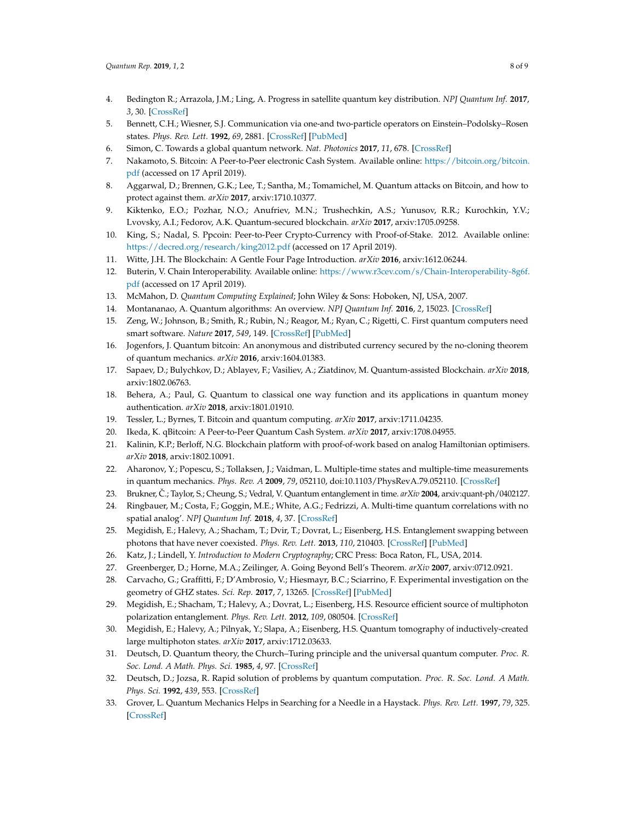- 4. Bedington R.; Arrazola, J.M.; Ling, A. Progress in satellite quantum key distribution. *NPJ Quantum Inf.* **2017**, *3*, 30. [CrossRef]
- 5. Bennett, C.H.; Wiesner, S.J. Communication via one-and two-particle operators on Einstein–Podolsky–Rosen states. *Phys. Rev. Lett.* **1992**, *69*, 2881. [CrossRef] [PubMed]
- 6. Simon, C. Towards a global quantum network. *Nat. Photonics* **2017**, *11*, 678. [CrossRef]
- 7. Nakamoto, S. Bitcoin: A Peer-to-Peer electronic Cash System. Available online: https://bitcoin.org/bitcoin. pdf (accessed on 17 April 2019).
- 8. Aggarwal, D.; Brennen, G.K.; Lee, T.; Santha, M.; Tomamichel, M. Quantum attacks on Bitcoin, and how to protect against them. *arXiv* **2017**, arxiv:1710.10377.
- 9. Kiktenko, E.O.; Pozhar, N.O.; Anufriev, M.N.; Trushechkin, A.S.; Yunusov, R.R.; Kurochkin, Y.V.; Lvovsky, A.I.; Fedorov, A.K. Quantum-secured blockchain. *arXiv* **2017**, arxiv:1705.09258.
- 10. King, S.; Nadal, S. Ppcoin: Peer-to-Peer Crypto-Currency with Proof-of-Stake. 2012. Available online: https://decred.org/research/king2012.pdf (accessed on 17 April 2019).
- 11. Witte, J.H. The Blockchain: A Gentle Four Page Introduction. *arXiv* **2016**, arxiv:1612.06244.
- 12. Buterin, V. Chain Interoperability. Available online: https://www.r3cev.com/s/Chain-Interoperability-8g6f. pdf (accessed on 17 April 2019).
- 13. McMahon, D. *Quantum Computing Explained*; John Wiley & Sons: Hoboken, NJ, USA, 2007.
- 14. Montananao, A. Quantum algorithms: An overview. *NPJ Quantum Inf.* **2016**, *2*, 15023. [CrossRef]
- 15. Zeng, W.; Johnson, B.; Smith, R.; Rubin, N.; Reagor, M.; Ryan, C.; Rigetti, C. First quantum computers need smart software. *Nature* **2017**, *549*, 149. [CrossRef] [PubMed]
- 16. Jogenfors, J. Quantum bitcoin: An anonymous and distributed currency secured by the no-cloning theorem of quantum mechanics. *arXiv* **2016**, arxiv:1604.01383.
- 17. Sapaev, D.; Bulychkov, D.; Ablayev, F.; Vasiliev, A.; Ziatdinov, M. Quantum-assisted Blockchain. *arXiv* **2018**, arxiv:1802.06763.
- 18. Behera, A.; Paul, G. Quantum to classical one way function and its applications in quantum money authentication. *arXiv* **2018**, arxiv:1801.01910.
- 19. Tessler, L.; Byrnes, T. Bitcoin and quantum computing. *arXiv* **2017**, arxiv:1711.04235.
- 20. Ikeda, K. qBitcoin: A Peer-to-Peer Quantum Cash System. *arXiv* **2017**, arxiv:1708.04955.
- 21. Kalinin, K.P.; Berloff, N.G. Blockchain platform with proof-of-work based on analog Hamiltonian optimisers. *arXiv* **2018**, arxiv:1802.10091.
- 22. Aharonov, Y.; Popescu, S.; Tollaksen, J.; Vaidman, L. Multiple-time states and multiple-time measurements in quantum mechanics. *Phys. Rev. A* **2009**, *79*, 052110, doi:10.1103/PhysRevA.79.052110. [CrossRef]
- 23. Brukner, Č.; Taylor, S.; Cheung, S.; Vedral, V. Quantum entanglement in time. arXiv 2004, arxiv:quant-ph/0402127.
- 24. Ringbauer, M.; Costa, F.; Goggin, M.E.; White, A.G.; Fedrizzi, A. Multi-time quantum correlations with no spatial analog'. *NPJ Quantum Inf.* **2018**, *4*, 37. [CrossRef]
- 25. Megidish, E.; Halevy, A.; Shacham, T.; Dvir, T.; Dovrat, L.; Eisenberg, H.S. Entanglement swapping between photons that have never coexisted. *Phys. Rev. Lett.* **2013**, *110*, 210403. [CrossRef] [PubMed]
- 26. Katz, J.; Lindell, Y. *Introduction to Modern Cryptography*; CRC Press: Boca Raton, FL, USA, 2014.
- 27. Greenberger, D.; Horne, M.A.; Zeilinger, A. Going Beyond Bell's Theorem. *arXiv* **2007**, arxiv:0712.0921.
- 28. Carvacho, G.; Graffitti, F.; D'Ambrosio, V.; Hiesmayr, B.C.; Sciarrino, F. Experimental investigation on the geometry of GHZ states. *Sci. Rep.* **2017**, *7*, 13265. [CrossRef] [PubMed]
- 29. Megidish, E.; Shacham, T.; Halevy, A.; Dovrat, L.; Eisenberg, H.S. Resource efficient source of multiphoton polarization entanglement. *Phys. Rev. Lett.* **2012**, *109*, 080504. [CrossRef]
- 30. Megidish, E.; Halevy, A.; Pilnyak, Y.; Slapa, A.; Eisenberg, H.S. Quantum tomography of inductively-created large multiphoton states. *arXiv* **2017**, arxiv:1712.03633.
- 31. Deutsch, D. Quantum theory, the Church–Turing principle and the universal quantum computer. *Proc. R. Soc. Lond. A Math. Phys. Sci.* **1985**, *4*, 97. [CrossRef]
- 32. Deutsch, D.; Jozsa, R. Rapid solution of problems by quantum computation. *Proc. R. Soc. Lond. A Math. Phys. Sci.* **1992**, *439*, 553. [CrossRef]
- 33. Grover, L. Quantum Mechanics Helps in Searching for a Needle in a Haystack. *Phys. Rev. Lett.* **1997**, *79*, 325. [CrossRef]